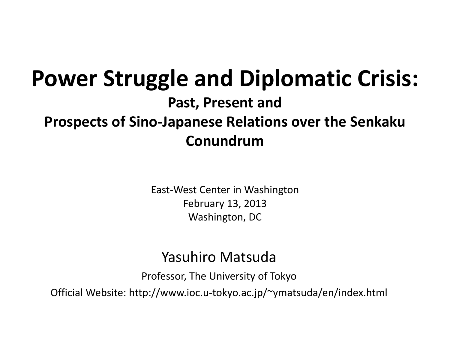#### **Power Struggle and Diplomatic Crisis: Past, Present and Prospects of Sino‐Japanese Relations over the Senkaku Conundrum**

East‐West Center in Washington February 13, 2013 Washington, DC

#### Yasuhiro Matsuda

Professor, The University of Tokyo

Official Website: http://www.ioc.u‐tokyo.ac.jp/~ymatsuda/en/index.html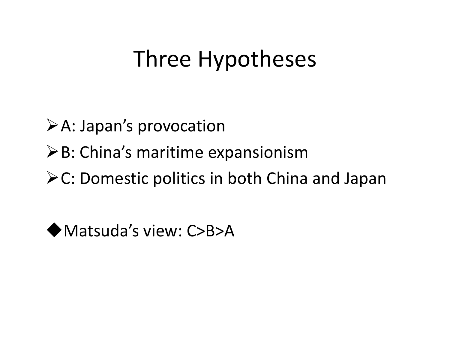#### Three Hypotheses

A: Japan's provocation

- B: China's maritime expansionism
- **≻C: Domestic politics in both China and Japan**

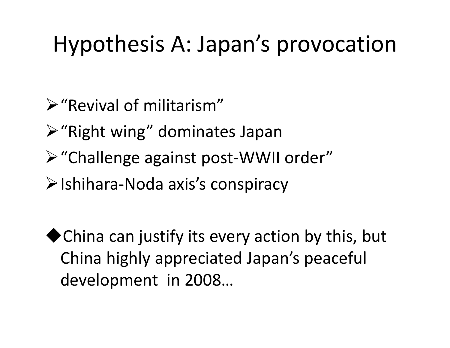#### Hypothesis A: Japan's provocation

 $\triangleright$  "Revival of militarism"

 $\triangleright$  "Right wing" dominates Japan

- "Challenge against post‐WWII order"
- Ishihara‐Noda axis's conspiracy

◆ China can justify its every action by this, but China highly appreciated Japan's peaceful development in 2008…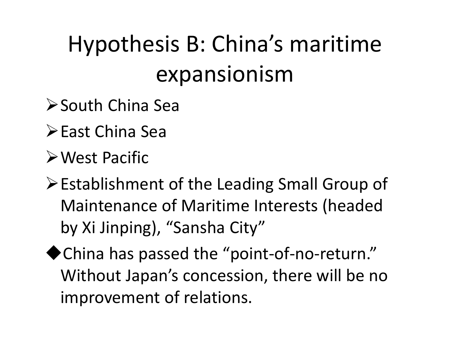# Hypothesis B: China's maritime expansionism

- South China Sea
- East China Sea
- West Pacific
- Establishment of the Leading Small Group of Maintenance of Maritime Interests (headed by Xi Jinping), "Sansha City"
- ◆ China has passed the "point-of-no-return." Without Japan's concession, there will be no improvement of relations.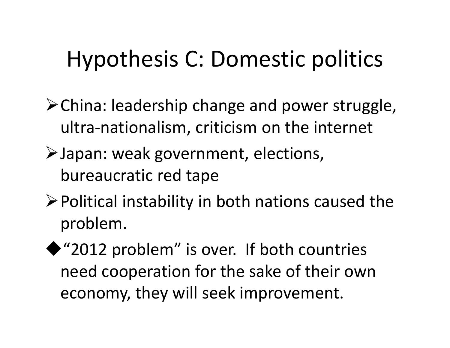#### Hypothesis C: Domestic politics

- China: leadership change and power struggle, ultra‐nationalism, criticism on the internet
- Japan: weak government, elections, bureaucratic red tape
- $\triangleright$  Political instability in both nations caused the problem.

◆ "2012 problem" is over. If both countries need cooperation for the sake of their own economy, they will seek improvement.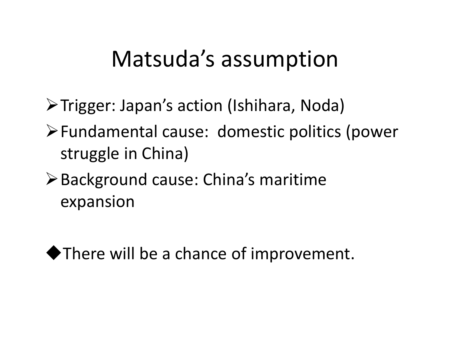#### Matsuda's assumption

- Trigger: Japan's action (Ishihara, Noda)
- Fundamental cause: domestic politics (power struggle in China)
- **≻Background cause: China's maritime** expansion

◆There will be a chance of improvement.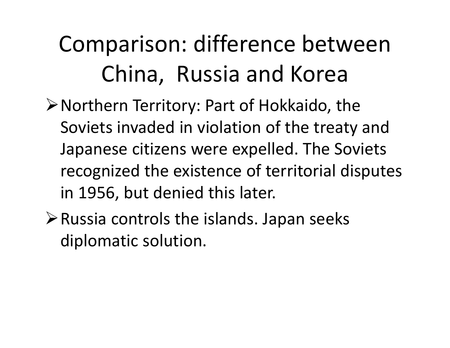# Comparison: difference between China, Russia and Korea

- Northern Territory: Part of Hokkaido, the Soviets invaded in violation of the treaty and Japanese citizens were expelled. The Soviets recognized the existence of territorial disputes in 1956, but denied this later.
- $\triangleright$  Russia controls the islands. Japan seeks diplomatic solution.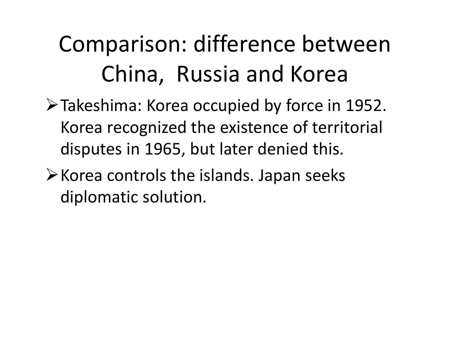# Comparison: difference between China, Russia and Korea

- Takeshima: Korea occupied by force in 1952. Korea recognized the existence of territorial disputes in 1965, but later denied this.
- $\triangleright$  Korea controls the islands. Japan seeks diplomatic solution.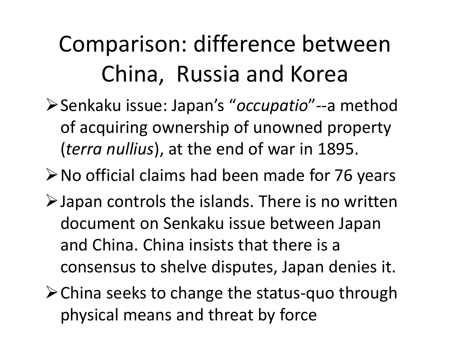## Comparison: difference between China, Russia and Korea

Senkaku issue: Japan's "*occupatio*"‐‐<sup>a</sup> method of acquiring ownership of unowned property (*terra nullius*), at the end of war in 1895.

No official claims had been made for 76 years

- $\triangleright$  Japan controls the islands. There is no written document on Senkaku issue between Japan and China. China insists that there is <sup>a</sup> consensus to shelve disputes, Japan denies it.
- China seeks to change the status‐quo through physical means and threat by force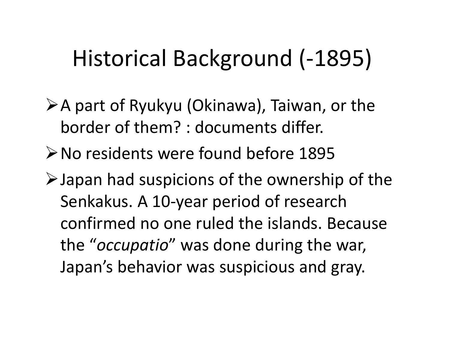#### Historical Background (‐1895)

A part of Ryukyu (Okinawa), Taiwan, or the border of them? : documents differ.

No residents were found before 1895

 $\triangleright$  Japan had suspicions of the ownership of the Senkakus. A 10‐year period of research confirmed no one ruled the islands. Because the "*occupatio*" was done during the war, Japan's behavior was suspicious and gray.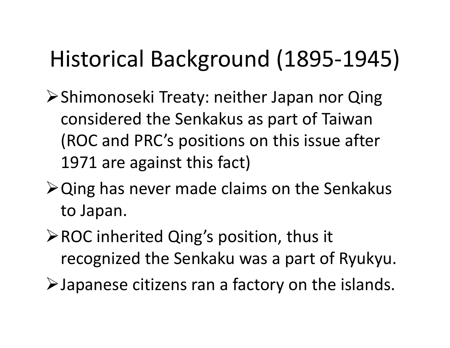#### Historical Background (1895‐1945)

- **≻Shimonoseki Treaty: neither Japan nor Qing** considered the Senkakus as part of Taiwan (ROC and PRC's positions on this issue after 1971 are against this fact)
- Qing has never made claims on the Senkakus to Japan.
- ROC inherited Qing's position, thus it recognized the Senkaku was <sup>a</sup> part of Ryukyu.
- $\triangleright$  Japanese citizens ran a factory on the islands.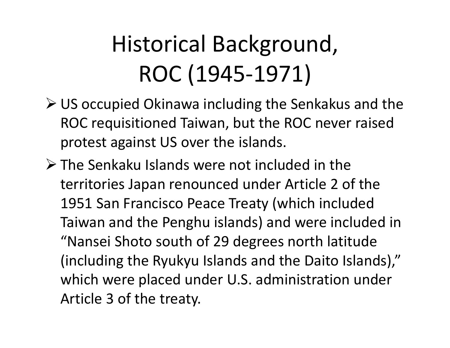# Historical Background, ROC (1945‐1971)

- US occupied Okinawa including the Senkakus and the ROC requisitioned Taiwan, but the ROC never raised protest against US over the islands.
- The Senkaku Islands were not included in the territories Japan renounced under Article 2 of the 1951 San Francisco Peace Treaty (which included Taiwan and the Penghu islands) and were included in "Nansei Shoto south of 29 degrees north latitude (including the Ryukyu Islands and the Daito Islands)," which were placed under U.S. administration under Article 3 of the treaty.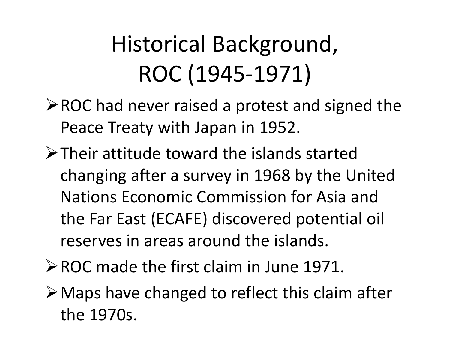# Historical Background, ROC (1945‐1971)

- $\triangleright$  ROC had never raised a protest and signed the Peace Treaty with Japan in 1952.
- Their attitude toward the islands started changing after <sup>a</sup> survey in 1968 by the United Nations Economic Commission for Asia and the Far East (ECAFE) discovered potential oil reserves in areas around the islands.
- ROC made the first claim in June 1971.
- Maps have changed to reflect this claim after the 1970s.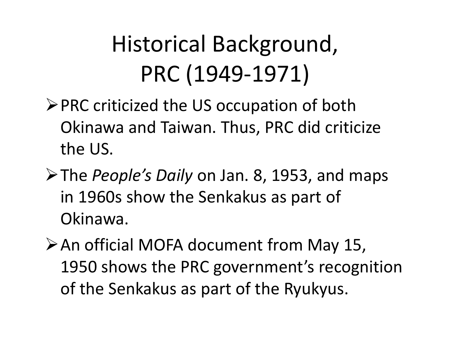## Historical Background, PRC (1949‐1971)

- PRC criticized the US occupation of both Okinawa and Taiwan. Thus, PRC did criticize the US.
- The *People's Daily* on Jan. 8, 1953, and maps in 1960s show the Senkakus as part of Okinawa.
- An official MOFA document from May 15, 1950 shows the PRC government's recognition of the Senkakus as part of the Ryukyus.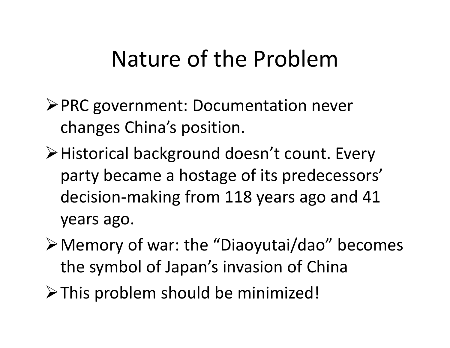#### Nature of the Problem

- PRC government: Documentation never changes China's position.
- ≻ Historical background doesn't count. Every party became <sup>a</sup> hostage of its predecessors' decision‐making from 118 years ago and 41 years ago.
- Memory of war: the "Diaoyutai/dao" becomes the symbol of Japan's invasion of China
- This problem should be minimized!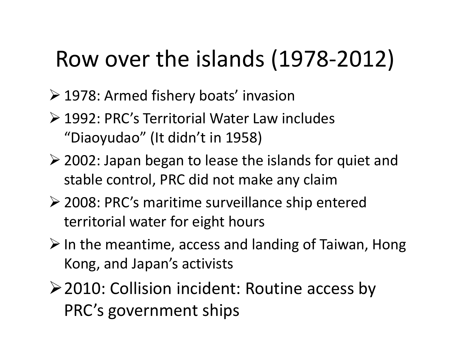#### Row over the islands (1978‐2012)

- 1978: Armed fishery boats' invasion
- 1992: PRC's Territorial Water Law includes "Diaoyudao" (It didn't in 1958)
- 2002: Japan began to lease the islands for quiet and stable control, PRC did not make any claim
- 2008: PRC's maritime surveillance ship entered territorial water for eight hours
- $\triangleright$  In the meantime, access and landing of Taiwan, Hong Kong, and Japan's activists
- 2010: Collision incident: Routine access by PRC's government ships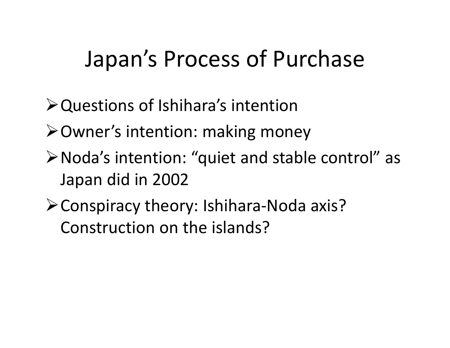#### Japan's Process of Purchase

- Questions of Ishihara's intention
- Owner's intention: making money
- Noda's intention: "quiet and stable control" as Japan did in 2002
- Conspiracy theory: Ishihara‐Noda axis? Construction on the islands?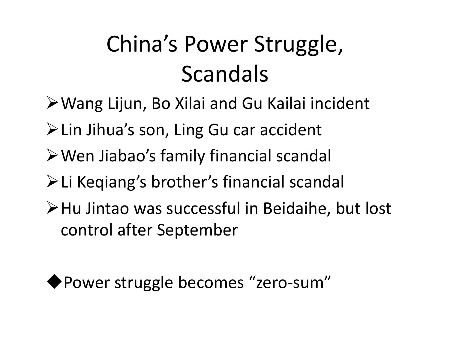## China's Power Struggle, Scandals

- Wang Lijun, Bo Xilai and Gu Kailai incident
- Lin Jihua's son, Ling Gu car accident
- Wen Jiabao's family financial scandal
- Li Keqiang's brother's financial scandal
- Hu Jintao was successful in Beidaihe, but lost control after September

◆ Power struggle becomes "zero-sum"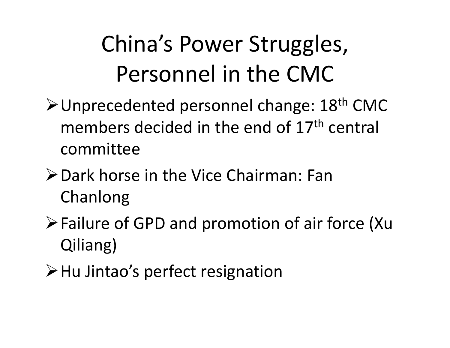## China's Power Struggles, Personnel in the CMC

- Unprecedented personnel change: 18th CMC members decided in the end of 17<sup>th</sup> central committee
- Dark horse in the Vice Chairman: Fan Chanlong
- Failure of GPD and promotion of air force (Xu Qiliang)
- >Hu Jintao's perfect resignation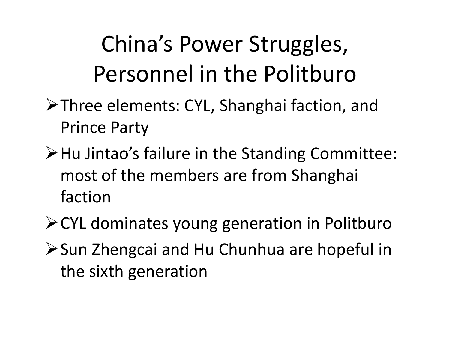# China's Power Struggles, Personnel in the Politburo

- Three elements: CYL, Shanghai faction, and Prince Party
- >Hu Jintao's failure in the Standing Committee: most of the members are from Shanghai faction
- CYL dominates young generation in Politburo
- ▶ Sun Zhengcai and Hu Chunhua are hopeful in the sixth generation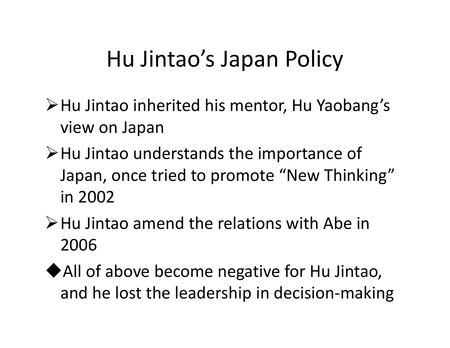#### Hu Jintao's Japan Policy

- >Hu Jintao inherited his mentor, Hu Yaobang's view on Japan
- Hu Jintao understands the importance of Japan, once tried to promote "New Thinking" in 2002
- Hu Jintao amend the relations with Abe in 2006
- ◆ All of above become negative for Hu Jintao, and he lost the leadership in decision‐making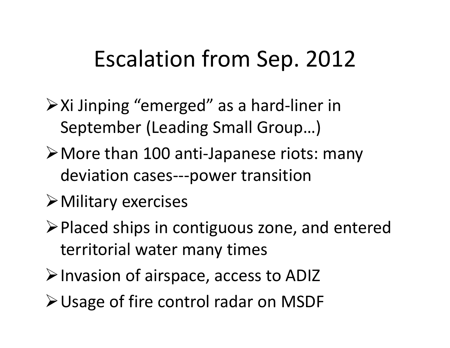#### Escalation from Sep. 2012

- Xi Jinping "emerged" as <sup>a</sup> hard‐liner in September (Leading Small Group…)
- More than 100 anti‐Japanese riots: many deviation cases‐‐‐power transition
- Military exercises
- $\triangleright$  Placed ships in contiguous zone, and entered territorial water many times
- >Invasion of airspace, access to ADIZ
- Usage of fire control radar on MSDF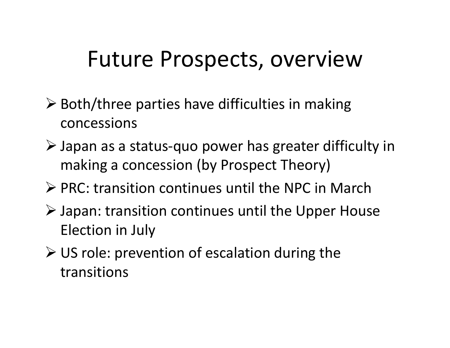#### Future Prospects, overview

- $\triangleright$  Both/three parties have difficulties in making concessions
- Japan as <sup>a</sup> status‐quo power has greater difficulty in making <sup>a</sup> concession (by Prospect Theory)
- $\triangleright$  PRC: transition continues until the NPC in March
- Japan: transition continues until the Upper House Election in July
- US role: prevention of escalation during the transitions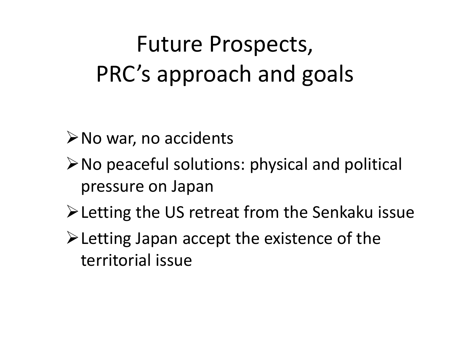## Future Prospects, PRC's approach and goals

No war, no accidents

- No peaceful solutions: physical and political pressure on Japan
- Letting the US retreat from the Senkaku issue
- Extractlerightary accept the existence of the territorial issue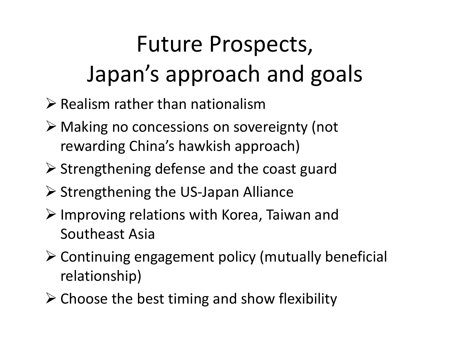## Future Prospects, Japan's approach and goals

- $\triangleright$  Realism rather than nationalism
- Making no concessions on sovereignty (not rewarding China's hawkish approach)
- $\triangleright$  Strengthening defense and the coast guard
- ▶ Strengthening the US-Japan Alliance
- $\triangleright$  Improving relations with Korea, Taiwan and Southeast Asia
- Continuing engagement policy (mutually beneficial relationship)
- $\triangleright$  Choose the best timing and show flexibility